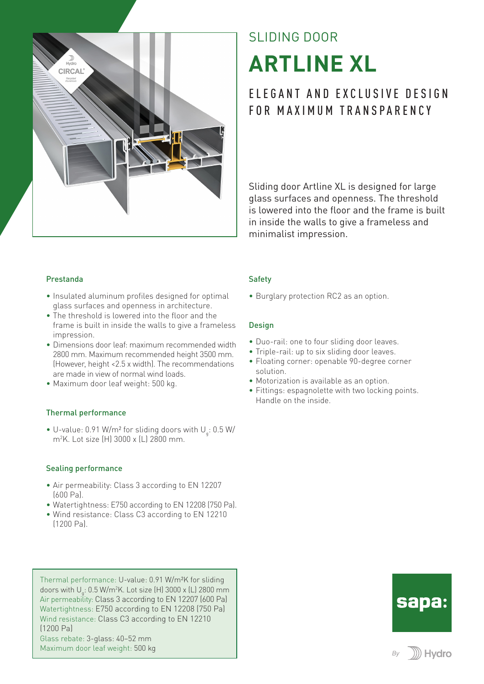

# SLIDING DOOR **ARTLINE XL**

# ELEGANT AND EXCLUSIVE DESIGN FOR MAXIMUM TRANSPARENCY

Sliding door Artline XL is designed for large glass surfaces and openness. The threshold is lowered into the floor and the frame is built in inside the walls to give a frameless and minimalist impression.

#### Prestanda

- Insulated aluminum profiles designed for optimal glass surfaces and openness in architecture.
- The threshold is lowered into the floor and the frame is built in inside the walls to give a frameless impression.
- Dimensions door leaf: maximum recommended width 2800 mm. Maximum recommended height 3500 mm. (However, height <2.5 x width). The recommendations are made in view of normal wind loads.
- Maximum door leaf weight: 500 kg.

#### Thermal performance

 $\bullet$  U-value: 0.91 W/m<sup>2</sup> for sliding doors with U<sub>q</sub>: 0.5 W/ m2 K. Lot size (H) 3000 x (L) 2800 mm.

#### Sealing performance

- Air permeability: Class 3 according to EN 12207  $f(\theta)$  Pal.
- Watertightness: E750 according to EN 12208 (750 Pa).
- Wind resistance: Class C3 according to EN 12210 (1200 Pa).

Thermal performance: U-value: 0.91 W/m²K for sliding doors with U<sub>q</sub>: 0.5 W/m²K. Lot size (H) 3000 x (L) 2800 mm Air permeability: Class 3 according to EN 12207 (600 Pa) Watertightness: E750 according to EN 12208 (750 Pa) Wind resistance: Class C3 according to EN 12210 (1200 Pa) Glass rebate: 3-glass: 40–52 mm Maximum door leaf weight: 500 kg

#### **Safety**

• Burglary protection RC2 as an option.

#### **Design**

- Duo-rail: one to four sliding door leaves.
- Triple-rail: up to six sliding door leaves.
- Floating corner: openable 90-degree corner solution.
- Motorization is available as an option.
- Fittings: espagnolette with two locking points. Handle on the inside.